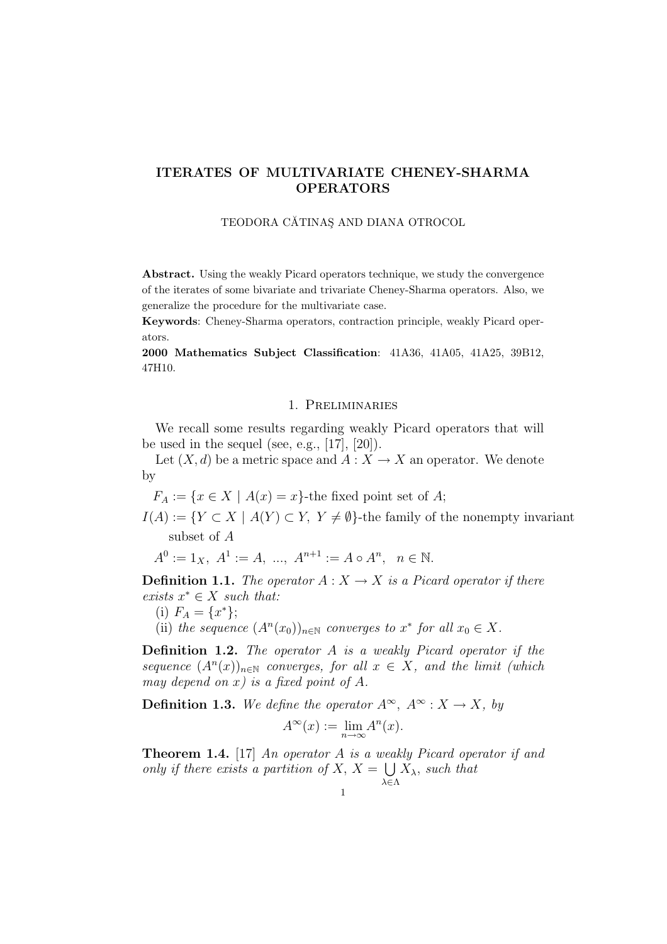# ITERATES OF MULTIVARIATE CHENEY-SHARMA OPERATORS

#### TEODORA CĂTINAS AND DIANA OTROCOL

Abstract. Using the weakly Picard operators technique, we study the convergence of the iterates of some bivariate and trivariate Cheney-Sharma operators. Also, we generalize the procedure for the multivariate case.

Keywords: Cheney-Sharma operators, contraction principle, weakly Picard operators.

2000 Mathematics Subject Classification: 41A36, 41A05, 41A25, 39B12, 47H10.

#### 1. Preliminaries

We recall some results regarding weakly Picard operators that will be used in the sequel (see, e.g.,  $[17]$ ,  $[20]$ ).

Let  $(X, d)$  be a metric space and  $A: X \to X$  an operator. We denote by

 $F_A := \{x \in X \mid A(x) = x\}$ -the fixed point set of A;

 $I(A) := \{ Y \subset X \mid A(Y) \subset Y, Y \neq \emptyset \}$ -the family of the nonempty invariant subset of A

$$
A^0 := 1_X, \ A^1 := A, \ \dots, \ A^{n+1} := A \circ A^n, \ \ n \in \mathbb{N}.
$$

**Definition 1.1.** The operator  $A: X \to X$  is a Picard operator if there exists  $x^* \in X$  such that:

(i)  $F_A = \{x^*\};$ 

(ii) the sequence  $(A^n(x_0))_{n\in\mathbb{N}}$  converges to  $x^*$  for all  $x_0 \in X$ .

**Definition 1.2.** The operator A is a weakly Picard operator if the sequence  $(A<sup>n</sup>(x))<sub>n\in\mathbb{N}</sub>$  converges, for all  $x \in X$ , and the limit (which may depend on x) is a fixed point of  $A$ .

**Definition 1.3.** We define the operator  $A^{\infty}$ ,  $A^{\infty}$  :  $X \to X$ , by

$$
A^{\infty}(x) := \lim_{n \to \infty} A^n(x).
$$

**Theorem 1.4.** [17] An operator A is a weakly Picard operator if and only if there exists a partition of  $X, X =$ λ∈Λ  $X_{\lambda}$ , such that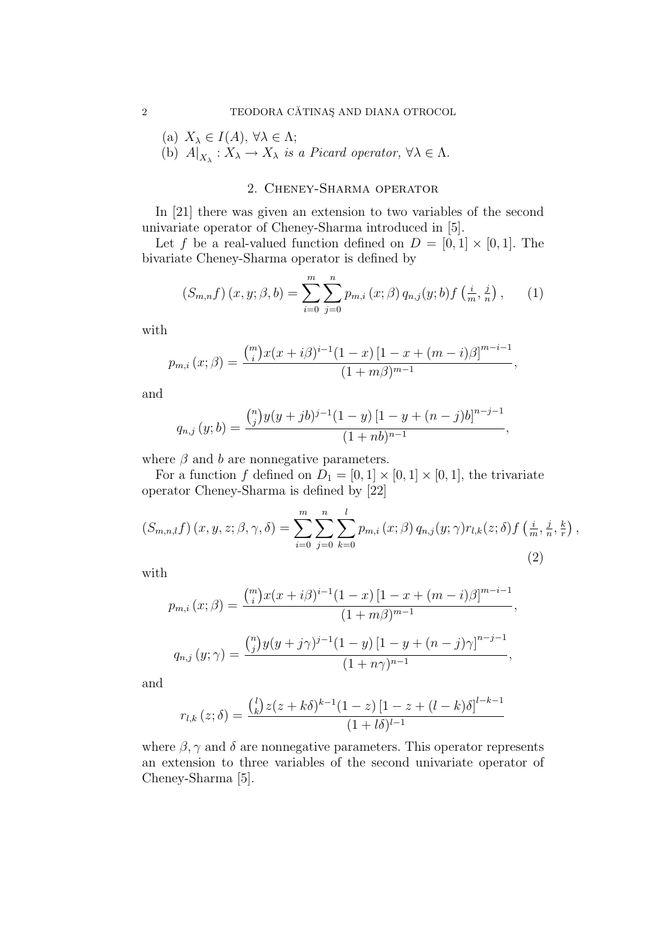(a)  $X_{\lambda} \in I(A), \,\forall \lambda \in \Lambda;$ 

(b)  $A|_{X_{\lambda}} : X_{\lambda} \to X_{\lambda}$  is a Picard operator,  $\forall \lambda \in \Lambda$ .

## 2. Cheney-Sharma operator

In [21] there was given an extension to two variables of the second univariate operator of Cheney-Sharma introduced in [5].

Let f be a real-valued function defined on  $D = [0, 1] \times [0, 1]$ . The bivariate Cheney-Sharma operator is defined by

$$
(S_{m,n}f)(x,y;\beta,b) = \sum_{i=0}^{m} \sum_{j=0}^{n} p_{m,i}(x;\beta) q_{n,j}(y;b) f\left(\frac{i}{m}, \frac{j}{n}\right), \qquad (1)
$$

with

$$
p_{m,i}(x;\beta) = \frac{\binom{m}{i}x(x+i\beta)^{i-1}(1-x)[1-x+(m-i)\beta]^{m-i-1}}{(1+m\beta)^{m-1}},
$$

and

$$
q_{n,j}(y;b) = \frac{\binom{n}{j}y(y+jb)^{j-1}(1-y)[1-y+(n-j)b]^{n-j-1}}{(1+nb)^{n-1}},
$$

where  $\beta$  and b are nonnegative parameters.

For a function f defined on  $D_1 = [0, 1] \times [0, 1] \times [0, 1]$ , the trivariate operator Cheney-Sharma is defined by [22]

$$
(S_{m,n,l}f)(x, y, z; \beta, \gamma, \delta) = \sum_{i=0}^{m} \sum_{j=0}^{n} \sum_{k=0}^{l} p_{m,i}(x; \beta) q_{n,j}(y; \gamma) r_{l,k}(z; \delta) f\left(\frac{i}{m}, \frac{j}{n}, \frac{k}{r}\right),
$$
\n(2)

with

$$
p_{m,i}(x; \beta) = \frac{\binom{m}{i} x (x + i \beta)^{i-1} (1 - x) [1 - x + (m - i) \beta]^{m - i - 1}}{(1 + m \beta)^{m - 1}},
$$
  

$$
q_{n,j}(y; \gamma) = \frac{\binom{n}{j} y (y + j \gamma)^{j-1} (1 - y) [1 - y + (n - j) \gamma]^{n - j - 1}}{(1 + n \gamma)^{n - 1}},
$$

and

$$
r_{l,k}(z;\delta) = \frac{\binom{l}{k}z(z+k\delta)^{k-1}(1-z)[1-z+(l-k)\delta]^{l-k-1}}{(1+l\delta)^{l-1}}
$$

where  $\beta$ ,  $\gamma$  and  $\delta$  are nonnegative parameters. This operator represents an extension to three variables of the second univariate operator of Cheney-Sharma [5].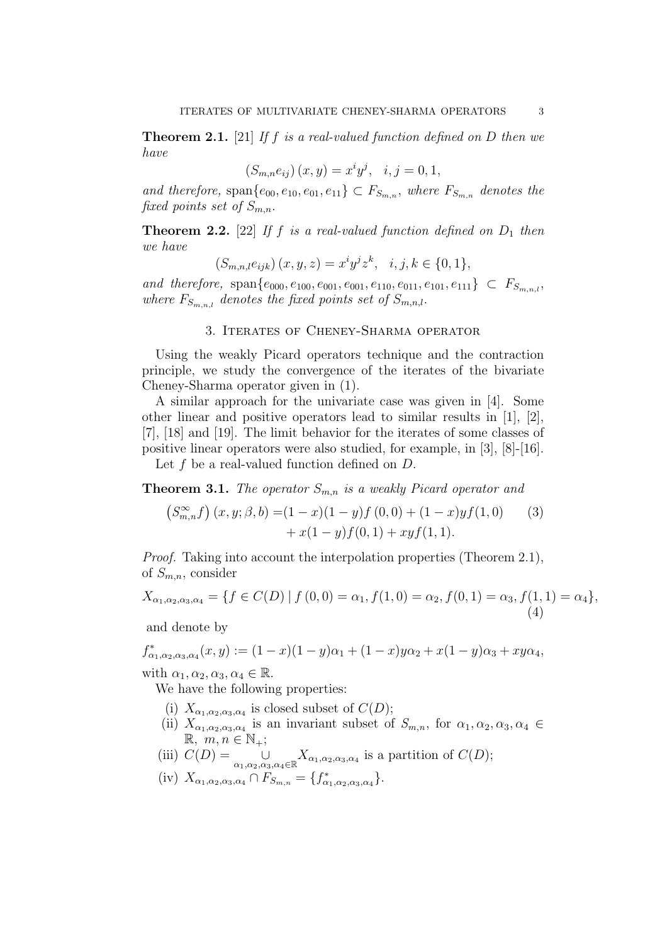**Theorem 2.1.** [21] If f is a real-valued function defined on D then we have

$$
(S_{m,n}e_{ij}) (x, y) = x^i y^j, \quad i, j = 0, 1,
$$

and therefore, span $\{e_{00}, e_{10}, e_{01}, e_{11}\} \subset F_{S_{m,n}}$ , where  $F_{S_{m,n}}$  denotes the fixed points set of  $S_{m,n}$ .

**Theorem 2.2.** [22] If f is a real-valued function defined on  $D_1$  then we have

$$
(S_{m,n,l}e_{ijk}) (x, y, z) = x^i y^j z^k, \quad i, j, k \in \{0, 1\},\
$$

and therefore, span $\{e_{000}, e_{100}, e_{001}, e_{001}, e_{110}, e_{011}, e_{101}, e_{111}\} \subset F_{S_{m,n,l}}$ where  $F_{S_{m,n,l}}$  denotes the fixed points set of  $S_{m,n,l}$ .

### 3. Iterates of Cheney-Sharma operator

Using the weakly Picard operators technique and the contraction principle, we study the convergence of the iterates of the bivariate Cheney-Sharma operator given in (1).

A similar approach for the univariate case was given in [4]. Some other linear and positive operators lead to similar results in [1], [2], [7], [18] and [19]. The limit behavior for the iterates of some classes of positive linear operators were also studied, for example, in [3], [8]-[16]. Let  $f$  be a real-valued function defined on  $D$ .

**Theorem 3.1.** The operator  $S_{m,n}$  is a weakly Picard operator and

$$
(S_{m,n}^{\infty}f)(x,y;\beta,b) = (1-x)(1-y)f(0,0) + (1-x)yf(1,0)
$$
  
+  $x(1-y)f(0,1) + xyf(1,1)$ . (3)

Proof. Taking into account the interpolation properties (Theorem 2.1), of  $S_{m,n}$ , consider

$$
X_{\alpha_1,\alpha_2,\alpha_3,\alpha_4} = \{ f \in C(D) \mid f(0,0) = \alpha_1, f(1,0) = \alpha_2, f(0,1) = \alpha_3, f(1,1) = \alpha_4 \},\tag{4}
$$

and denote by

 $f_{\alpha_1,\alpha_2,\alpha_3,\alpha_4}^*(x,y) := (1-x)(1-y)\alpha_1 + (1-x)y\alpha_2 + x(1-y)\alpha_3 + xy\alpha_4,$ 

with  $\alpha_1, \alpha_2, \alpha_3, \alpha_4 \in \mathbb{R}$ .

We have the following properties:

- (i)  $X_{\alpha_1,\alpha_2,\alpha_3,\alpha_4}$  is closed subset of  $C(D)$ ;
- (ii)  $X_{\alpha_1,\alpha_2,\alpha_3,\alpha_4}$  is an invariant subset of  $S_{m,n}$ , for  $\alpha_1,\alpha_2,\alpha_3,\alpha_4 \in$  $\mathbb{R}, m, n \in \mathbb{N}_+$ ;
- (iii)  $C(D) = \bigcup_{\alpha_1,\alpha_2,\alpha_3,\alpha_4 \in \mathbb{R}} X_{\alpha_1,\alpha_2,\alpha_3,\alpha_4}$  is a partition of  $C(D)$ ;
- (iv)  $X_{\alpha_1,\alpha_2,\alpha_3,\alpha_4} \cap F_{S_{m,n}} = \{f_{\alpha_1,\alpha_2,\alpha_3,\alpha_4}^*\}.$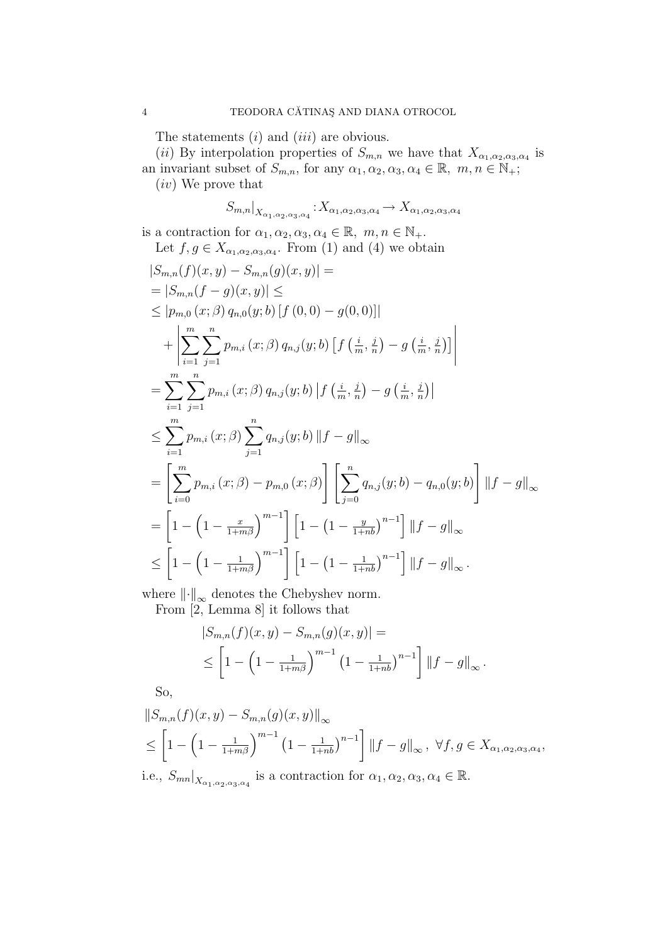The statements  $(i)$  and  $(iii)$  are obvious.

(ii) By interpolation properties of  $S_{m,n}$  we have that  $X_{\alpha_1,\alpha_2,\alpha_3,\alpha_4}$  is

an invariant subset of  $S_{m,n}$ , for any  $\alpha_1, \alpha_2, \alpha_3, \alpha_4 \in \mathbb{R}, m, n \in \mathbb{N}_+$ ;

(iv) We prove that

$$
S_{m,n}|_{X_{\alpha_1,\alpha_2,\alpha_3,\alpha_4}}:X_{\alpha_1,\alpha_2,\alpha_3,\alpha_4}\to X_{\alpha_1,\alpha_2,\alpha_3,\alpha_4}
$$

is a contraction for  $\alpha_1, \alpha_2, \alpha_3, \alpha_4 \in \mathbb{R}, m, n \in \mathbb{N}_+$ . Let  $f, g \in X_{\alpha_1, \alpha_2, \alpha_3, \alpha_4}$ . From (1) and (4) we obtain

$$
|S_{m,n}(f)(x,y) - S_{m,n}(g)(x,y)| =
$$
  
\n
$$
= |S_{m,n}(f - g)(x,y)| \le
$$
  
\n
$$
\leq |p_{m,0}(x;\beta) q_{n,0}(y;b) [f(0,0) - g(0,0)]|
$$
  
\n
$$
+ \left| \sum_{i=1}^{m} \sum_{j=1}^{n} p_{m,i}(x;\beta) q_{n,j}(y;b) [f(\frac{i}{m}, \frac{j}{n}) - g(\frac{i}{m}, \frac{j}{n})] \right|
$$
  
\n
$$
= \sum_{i=1}^{m} \sum_{j=1}^{n} p_{m,i}(x;\beta) q_{n,j}(y;b) |f(\frac{i}{m}, \frac{j}{n}) - g(\frac{i}{m}, \frac{j}{n})|
$$
  
\n
$$
\leq \sum_{i=1}^{m} p_{m,i}(x;\beta) \sum_{j=1}^{n} q_{n,j}(y;b) ||f - g||_{\infty}
$$
  
\n
$$
= \left[ \sum_{i=0}^{m} p_{m,i}(x;\beta) - p_{m,0}(x;\beta) \right] \left[ \sum_{j=0}^{n} q_{n,j}(y;b) - q_{n,0}(y;b) \right] ||f - g||_{\infty}
$$
  
\n
$$
= \left[ 1 - \left( 1 - \frac{x}{1+m\beta} \right)^{m-1} \right] \left[ 1 - \left( 1 - \frac{y}{1+mb} \right)^{n-1} \right] ||f - g||_{\infty}
$$
  
\n
$$
\leq \left[ 1 - \left( 1 - \frac{1}{1+m\beta} \right)^{m-1} \right] \left[ 1 - \left( 1 - \frac{1}{1+mb} \right)^{n-1} \right] ||f - g||_{\infty}.
$$

where  $\lVert \cdot \rVert_{\infty}$  denotes the Chebyshev norm. From [2, Lemma 8] it follows that

$$
|S_{m,n}(f)(x,y) - S_{m,n}(g)(x,y)| =
$$
  
 
$$
\leq \left[1 - \left(1 - \frac{1}{1+m\beta}\right)^{m-1} \left(1 - \frac{1}{1+nb}\right)^{n-1}\right] ||f - g||_{\infty}.
$$

So,

$$
||S_{m,n}(f)(x,y) - S_{m,n}(g)(x,y)||_{\infty}
$$
  
\n
$$
\leq \left[1 - \left(1 - \frac{1}{1+m\beta}\right)^{m-1} \left(1 - \frac{1}{1+nb}\right)^{n-1}\right] ||f - g||_{\infty}, \ \forall f, g \in X_{\alpha_1, \alpha_2, \alpha_3, \alpha_4},
$$

i.e.,  $S_{mn}|_{X_{\alpha_1,\alpha_2,\alpha_3,\alpha_4}}$  is a contraction for  $\alpha_1,\alpha_2,\alpha_3,\alpha_4 \in \mathbb{R}$ .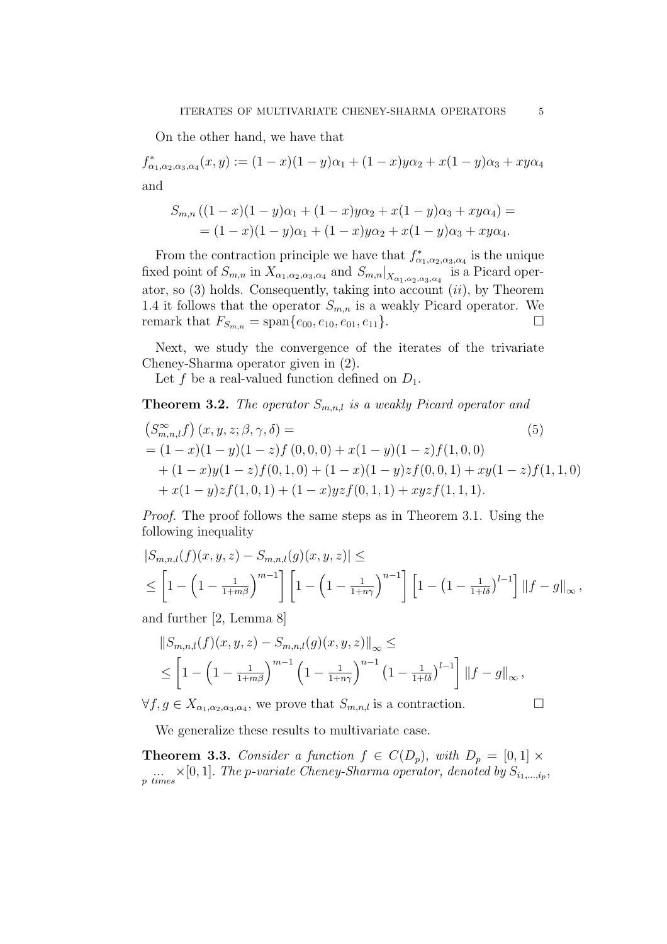On the other hand, we have that

 $f_{\alpha_1,\alpha_2,\alpha_3,\alpha_4}^*(x,y) := (1-x)(1-y)\alpha_1 + (1-x)y\alpha_2 + x(1-y)\alpha_3 + xy\alpha_4$ and

$$
S_{m,n}((1-x)(1-y)\alpha_1 + (1-x)y\alpha_2 + x(1-y)\alpha_3 + xy\alpha_4) =
$$
  
=  $(1-x)(1-y)\alpha_1 + (1-x)y\alpha_2 + x(1-y)\alpha_3 + xy\alpha_4.$ 

From the contraction principle we have that  $f_{\alpha_1,\alpha_2,\alpha_3,\alpha_4}^*$  is the unique fixed point of  $S_{m,n}$  in  $X_{\alpha_1,\alpha_2,\alpha_3,\alpha_4}$  and  $S_{m,n}|_{X_{\alpha_1,\alpha_2,\alpha_3,\alpha_4}}$  is a Picard operator, so  $(3)$  holds. Consequently, taking into account  $(ii)$ , by Theorem 1.4 it follows that the operator  $S_{m,n}$  is a weakly Picard operator. We remark that  $F_{S_{m,n}} = \text{span}\{e_{00}, e_{10}, e_{01}, e_{11}\}.$ 

Next, we study the convergence of the iterates of the trivariate Cheney-Sharma operator given in (2).

Let f be a real-valued function defined on  $D_1$ .

**Theorem 3.2.** The operator  $S_{m,n,l}$  is a weakly Picard operator and

$$
\begin{aligned}\n\left(S_{m,n,l}^{\infty}f\right)(x,y,z;\beta,\gamma,\delta) &=\\
&= (1-x)(1-y)(1-z)f(0,0,0) + x(1-y)(1-z)f(1,0,0) \\
&+ (1-x)y(1-z)f(0,1,0) + (1-x)(1-y)zf(0,0,1) + xy(1-z)f(1,1,0) \\
&+ x(1-y)zf(1,0,1) + (1-x)yzf(0,1,1) + xyzf(1,1,1).\n\end{aligned}
$$
\n(5)

Proof. The proof follows the same steps as in Theorem 3.1. Using the following inequality

$$
|S_{m,n,l}(f)(x,y,z) - S_{m,n,l}(g)(x,y,z)| \le
$$
  

$$
\leq \left[1 - \left(1 - \frac{1}{1+m\beta}\right)^{m-1}\right] \left[1 - \left(1 - \frac{1}{1+n\gamma}\right)^{n-1}\right] \left[1 - \left(1 - \frac{1}{1+l\delta}\right)^{l-1}\right] ||f - g||_{\infty},
$$

and further [2, Lemma 8]

$$
||S_{m,n,l}(f)(x,y,z) - S_{m,n,l}(g)(x,y,z)||_{\infty} \le
$$
  
 
$$
\leq \left[1 - \left(1 - \frac{1}{1 + m\beta}\right)^{m-1} \left(1 - \frac{1}{1 + n\gamma}\right)^{n-1} \left(1 - \frac{1}{1 + l\delta}\right)^{l-1}\right] ||f - g||_{\infty},
$$

 $\forall f, g \in X_{\alpha_1, \alpha_2, \alpha_3, \alpha_4}$ , we prove that  $S_{m,n,l}$  is a contraction.  $\Box$ 

We generalize these results to multivariate case.

**Theorem 3.3.** Consider a function  $f \in C(D_p)$ , with  $D_p = [0, 1] \times$  $\sum_{p \ times} \times [0,1].$  The p-variate Cheney-Sharma operator, denoted by  $S_{i_1,\dots,i_p}$ ,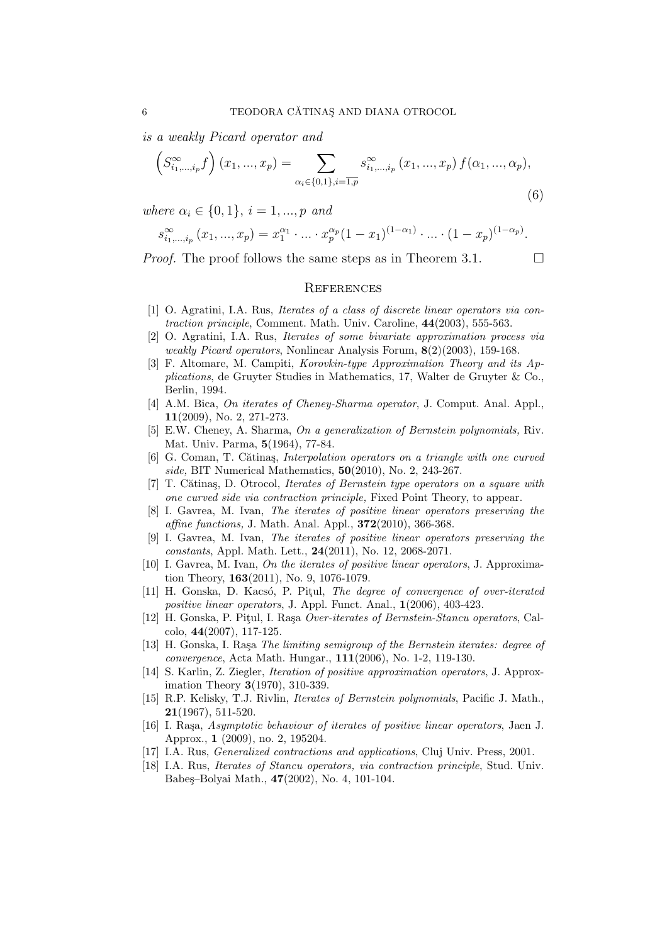is a weakly Picard operator and

$$
\left(S_{i_1,\dots,i_p}^{\infty}f\right)(x_1,...,x_p) = \sum_{\alpha_i \in \{0,1\}, i=\overline{1,p}} s_{i_1,\dots,i_p}^{\infty}(x_1,...,x_p) f(\alpha_1,...,\alpha_p),
$$
\n(6)

where  $\alpha_i \in \{0, 1\}, i = 1, ..., p$  and

$$
s_{i_1,\dots,i_p}^{\infty}(x_1,\dots,x_p) = x_1^{\alpha_1} \cdot \dots \cdot x_p^{\alpha_p}(1-x_1)^{(1-\alpha_1)} \cdot \dots \cdot (1-x_p)^{(1-\alpha_p)}.
$$

*Proof.* The proof follows the same steps as in Theorem 3.1.  $\Box$ 

### **REFERENCES**

- [1] O. Agratini, I.A. Rus, Iterates of a class of discrete linear operators via contraction principle, Comment. Math. Univ. Caroline, 44(2003), 555-563.
- [2] O. Agratini, I.A. Rus, Iterates of some bivariate approximation process via weakly Picard operators, Nonlinear Analysis Forum, 8(2)(2003), 159-168.
- [3] F. Altomare, M. Campiti, Korovkin-type Approximation Theory and its Applications, de Gruyter Studies in Mathematics, 17, Walter de Gruyter & Co., Berlin, 1994.
- [4] A.M. Bica, On iterates of Cheney-Sharma operator, J. Comput. Anal. Appl., 11(2009), No. 2, 271-273.
- [5] E.W. Cheney, A. Sharma, On a generalization of Bernstein polynomials, Riv. Mat. Univ. Parma, 5(1964), 77-84.
- [6] G. Coman, T. Cătinas, *Interpolation operators on a triangle with one curved* side, BIT Numerical Mathematics, 50(2010), No. 2, 243-267.
- [7] T. Cătinaș, D. Otrocol, Iterates of Bernstein type operators on a square with one curved side via contraction principle, Fixed Point Theory, to appear.
- [8] I. Gavrea, M. Ivan, The iterates of positive linear operators preserving the affine functions, J. Math. Anal. Appl., 372(2010), 366-368.
- [9] I. Gavrea, M. Ivan, The iterates of positive linear operators preserving the constants, Appl. Math. Lett., 24(2011), No. 12, 2068-2071.
- [10] I. Gavrea, M. Ivan, On the iterates of positive linear operators, J. Approximation Theory, 163(2011), No. 9, 1076-1079.
- [11] H. Gonska, D. Kacsó, P. Pitul, The degree of convergence of over-iterated positive linear operators, J. Appl. Funct. Anal., 1(2006), 403-423.
- [12] H. Gonska, P. Piţul, I. Raşa Over-iterates of Bernstein-Stancu operators, Calcolo, 44(2007), 117-125.
- [13] H. Gonska, I. Raşa The limiting semigroup of the Bernstein iterates: degree of convergence, Acta Math. Hungar., 111(2006), No. 1-2, 119-130.
- [14] S. Karlin, Z. Ziegler, Iteration of positive approximation operators, J. Approximation Theory 3(1970), 310-339.
- [15] R.P. Kelisky, T.J. Rivlin, Iterates of Bernstein polynomials, Pacific J. Math., 21(1967), 511-520.
- [16] I. Raşa, Asymptotic behaviour of iterates of positive linear operators, Jaen J. Approx., 1 (2009), no. 2, 195204.
- [17] I.A. Rus, *Generalized contractions and applications*, Cluj Univ. Press, 2001.
- [18] I.A. Rus, Iterates of Stancu operators, via contraction principle, Stud. Univ. Babeş–Bolyai Math., 47(2002), No. 4, 101-104.